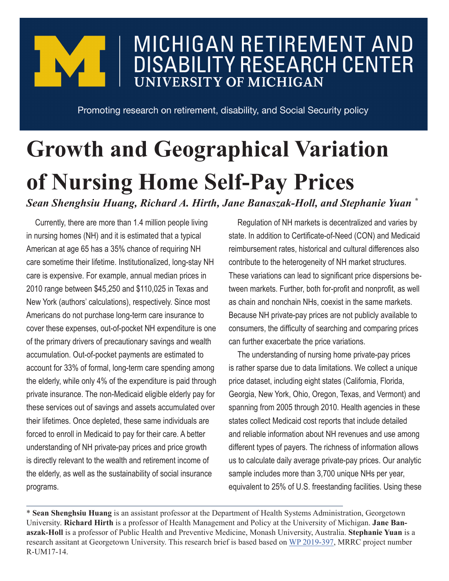## **MICHIGAN RETIREMENT AND DISABILITY RESEARCH CENTER UNIVERSITY OF MICHIGAN**

Promoting research on retirement, disability, and Social Security policy

## **Growth and Geographical Variation of Nursing Home Self-Pay Prices** *Sean Shenghsiu Huang, Richard A. Hirth, Jane Banaszak-Holl, and Stephanie Yuan \**

Currently, there are more than 1.4 million people living in nursing homes (NH) and it is estimated that a typical American at age 65 has a 35% chance of requiring NH care sometime their lifetime. Institutionalized, long-stay NH care is expensive. For example, annual median prices in 2010 range between \$45,250 and \$110,025 in Texas and New York (authors' calculations), respectively. Since most Americans do not purchase long-term care insurance to cover these expenses, out-of-pocket NH expenditure is one of the primary drivers of precautionary savings and wealth accumulation. Out-of-pocket payments are estimated to account for 33% of formal, long-term care spending among the elderly, while only 4% of the expenditure is paid through private insurance. The non-Medicaid eligible elderly pay for these services out of savings and assets accumulated over their lifetimes. Once depleted, these same individuals are forced to enroll in Medicaid to pay for their care. A better understanding of NH private-pay prices and price growth is directly relevant to the wealth and retirement income of the elderly, as well as the sustainability of social insurance programs.

Regulation of NH markets is decentralized and varies by state. In addition to Certificate-of-Need (CON) and Medicaid reimbursement rates, historical and cultural differences also contribute to the heterogeneity of NH market structures. These variations can lead to significant price dispersions between markets. Further, both for-profit and nonprofit, as well as chain and nonchain NHs, coexist in the same markets. Because NH private-pay prices are not publicly available to consumers, the difficulty of searching and comparing prices can further exacerbate the price variations.

The understanding of nursing home private-pay prices is rather sparse due to data limitations. We collect a unique price dataset, including eight states (California, Florida, Georgia, New York, Ohio, Oregon, Texas, and Vermont) and spanning from 2005 through 2010. Health agencies in these states collect Medicaid cost reports that include detailed and reliable information about NH revenues and use among different types of payers. The richness of information allows us to calculate daily average private-pay prices. Our analytic sample includes more than 3,700 unique NHs per year, equivalent to 25% of U.S. freestanding facilities. Using these

<sup>\*</sup> **Sean Shenghsiu Huang** is an assistant professor at the Department of Health Systems Administration, Georgetown University. **Richard Hirth** is a professor of Health Management and Policy at the University of Michigan. **Jane Banaszak-Holl** is a professor of Public Health and Preventive Medicine, Monash University, Australia. **Stephanie Yuan** is a research assitant at Georgetown University. This research brief is based based on [WP 2019-397](https://mrdrc.isr.umich.edu/pubs/the-growth-and-geographical-variation-of-nursing-home-self-pay-prices/), MRRC project number R-UM17-14.